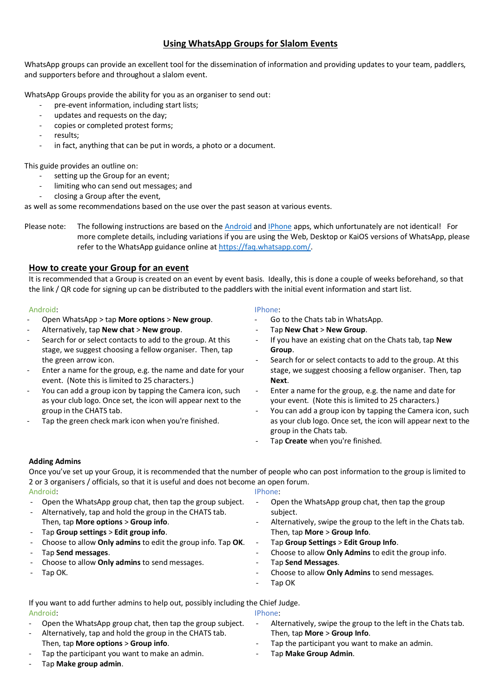# **Using WhatsApp Groups for Slalom Events**

WhatsApp groups can provide an excellent tool for the dissemination of information and providing updates to your team, paddlers, and supporters before and throughout a slalom event.

WhatsApp Groups provide the ability for you as an organiser to send out:

- pre-event information, including start lists;
- updates and requests on the day;
- copies or completed protest forms;
- results;
- in fact, anything that can be put in words, a photo or a document.

This guide provides an outline on:

- setting up the Group for an event;
- limiting who can send out messages; and
- closing a Group after the event,

as well as some recommendations based on the use over the past season at various events.

Please note: The following instructions are based on th[e Android](https://www.whatsapp.com/android/) and *IPhone* apps, which unfortunately are not identical! For more complete details, including variations if you are using the Web, Desktop or KaiOS versions of WhatsApp, please refer to the WhatsApp guidance online a[t https://faq.whatsapp.com/.](https://faq.whatsapp.com/)

## **How to create your Group for an event**

It is recommended that a Group is created on an event by event basis. Ideally, this is done a couple of weeks beforehand, so that the link / QR code for signing up can be distributed to the paddlers with the initial event information and start list.

### Android:

- Open WhatsApp > tap **More options** > **New group**.
- Alternatively, tap **New chat** > **New group**.
- Search for or select contacts to add to the group. At this stage, we suggest choosing a fellow organiser. Then, tap the green arrow icon.
- Enter a name for the group, e.g. the name and date for your event. (Note this is limited to 25 characters.)
- You can add a group icon by tapping the Camera icon, such as your club logo. Once set, the icon will appear next to the group in the CHATS tab.
- Tap the green check mark icon when you're finished.

### IPhone:

- Go to the Chats tab in WhatsApp.
- Tap **New Chat** > **New Group**.
- If you have an existing chat on the Chats tab, tap **New Group**.
- Search for or select contacts to add to the group. At this stage, we suggest choosing a fellow organiser. Then, tap **Next**.
- Enter a name for the group, e.g. the name and date for your event. (Note this is limited to 25 characters.)
- You can add a group icon by tapping the Camera icon, such as your club logo. Once set, the icon will appear next to the group in the Chats tab.
- Tap **Create** when you're finished.

### **Adding Admins**

Once you've set up your Group, it is recommended that the number of people who can post information to the group is limited to 2 or 3 organisers / officials, so that it is useful and does not become an open forum. Android: IPhone:

- Open the WhatsApp group chat, then tap the group subject.
- Alternatively, tap and hold the group in the CHATS tab. Then, tap **More options** > **Group info**.
- Tap **Group settings** > **Edit group info**.
- Choose to allow **Only admins** to edit the group info. Tap **OK**.
- Tap **Send messages**.
- Choose to allow **Only admins** to send messages.
- Tap OK.

- Open the WhatsApp group chat, then tap the group subject.
- Alternatively, swipe the group to the left in the Chats tab. Then, tap **More** > **Group Info**.
- Tap **Group Settings** > **Edit Group Info**.
- Choose to allow **Only Admins** to edit the group info.
- Tap **Send Messages**.
- Choose to allow **Only Admins** to send messages.
- Tap OK

If you want to add further admins to help out, possibly including the Chief Judge. Android: IPhone:

- Open the WhatsApp group chat, then tap the group subject.
- Alternatively, tap and hold the group in the CHATS tab. Then, tap **More options** > **Group info**.
- Tap the participant you want to make an admin.
- Tap **Make group admin**.

- Alternatively, swipe the group to the left in the Chats tab. Then, tap **More** > **Group Info**.
- Tap the participant you want to make an admin.
- Tap **Make Group Admin**.